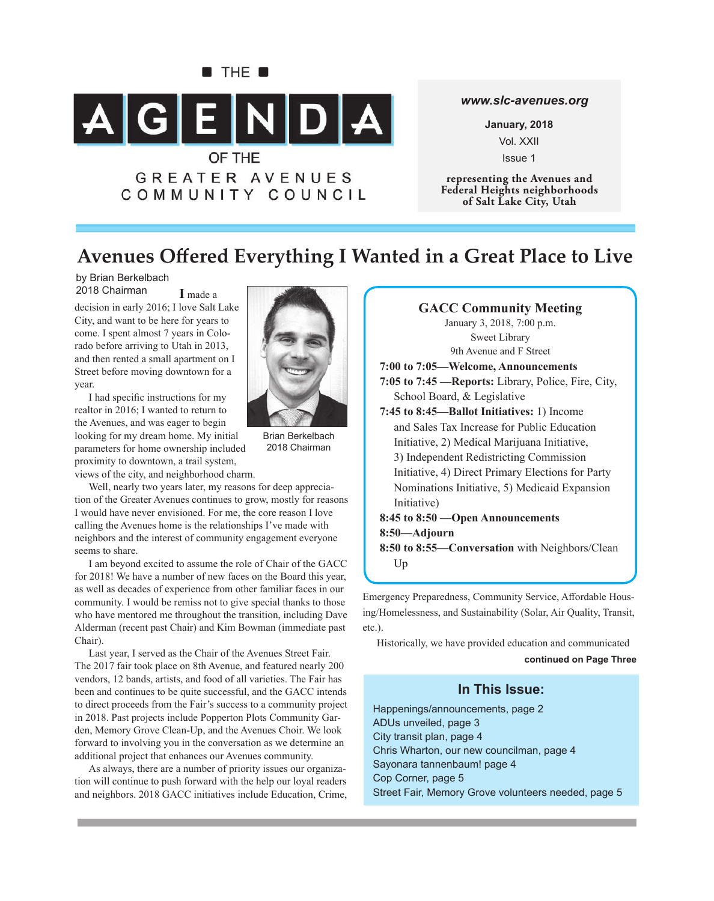

### *www.slc-avenues.org*

**January, 2018** Vol. XXII Issue 1

**representing the Avenues and Federal Heights neighborhoods of Salt Lake City, Utah**

## **Avenues Off ered Everything I Wanted in a Great Place to Live**

by Brian Berkelbach 2018 Chairman

**I** made a decision in early 2016; I love Salt Lake City, and want to be here for years to come. I spent almost 7 years in Colorado before arriving to Utah in 2013, and then rented a small apartment on I Street before moving downtown for a year.

I had specific instructions for my realtor in 2016; I wanted to return to the Avenues, and was eager to begin looking for my dream home. My initial parameters for home ownership included proximity to downtown, a trail system,

views of the city, and neighborhood charm.

Well, nearly two years later, my reasons for deep appreciation of the Greater Avenues continues to grow, mostly for reasons I would have never envisioned. For me, the core reason I love calling the Avenues home is the relationships I've made with neighbors and the interest of community engagement everyone seems to share.

I am beyond excited to assume the role of Chair of the GACC for 2018! We have a number of new faces on the Board this year, as well as decades of experience from other familiar faces in our community. I would be remiss not to give special thanks to those who have mentored me throughout the transition, including Dave Alderman (recent past Chair) and Kim Bowman (immediate past Chair).

Last year, I served as the Chair of the Avenues Street Fair. The 2017 fair took place on 8th Avenue, and featured nearly 200 vendors, 12 bands, artists, and food of all varieties. The Fair has been and continues to be quite successful, and the GACC intends to direct proceeds from the Fair's success to a community project in 2018. Past projects include Popperton Plots Community Garden, Memory Grove Clean-Up, and the Avenues Choir. We look forward to involving you in the conversation as we determine an additional project that enhances our Avenues community.

As always, there are a number of priority issues our organization will continue to push forward with the help our loyal readers and neighbors. 2018 GACC initiatives include Education, Crime,



Brian Berkelbach 2018 Chairman

**GACC Community Meeting** January 3, 2018, 7:00 p.m. Sweet Library 9th Avenue and F Street **7:00 to 7:05—Welcome, Announcements 7:05 to 7:45 —Reports:** Library, Police, Fire, City, School Board, & Legislative **7:45 to 8:45—Ballot Initiatives:** 1) Income and Sales Tax Increase for Public Education Initiative, 2) Medical Marijuana Initiative, 3) Independent Redistricting Commission Initiative, 4) Direct Primary Elections for Party Nominations Initiative, 5) Medicaid Expansion Initiative) **8:45 to 8:50 —Open Announcements 8:50—Adjourn 8:50 to 8:55—Conversation** with Neighbors/Clean  $Up$ 

Emergency Preparedness, Community Service, Affordable Housing/Homelessness, and Sustainability (Solar, Air Quality, Transit, etc.).

Historically, we have provided education and communicated

**continued on Page Three**

### **In This Issue:**

Happenings/announcements, page 2 ADUs unveiled, page 3 City transit plan, page 4 Chris Wharton, our new councilman, page 4 Sayonara tannenbaum! page 4 Cop Corner, page 5 Street Fair, Memory Grove volunteers needed, page 5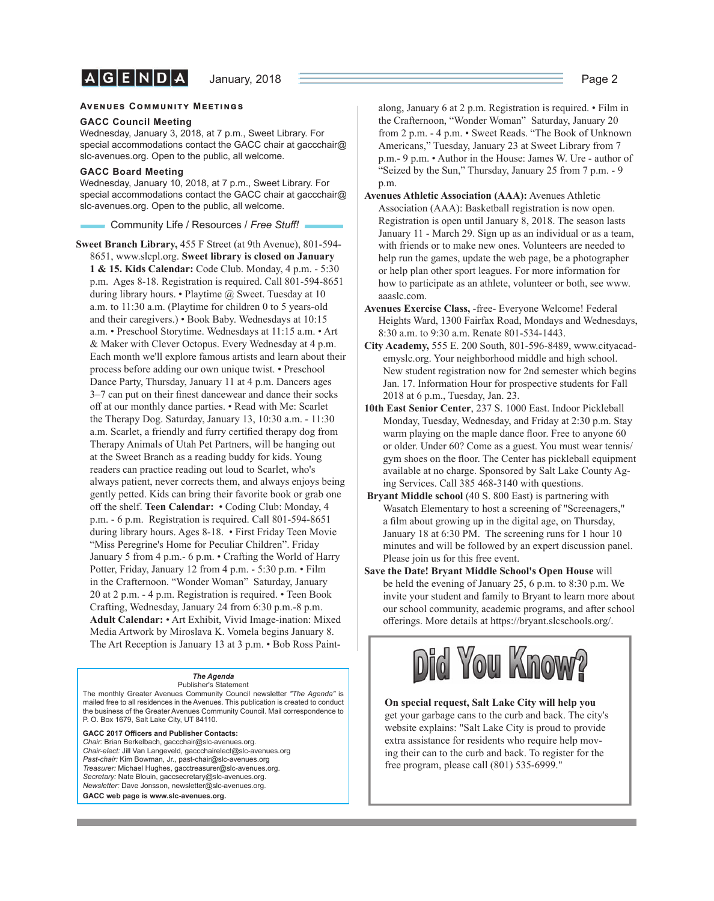#### **AVENUES COMMUNITY MEETINGS**

#### **GACC Council Meeting**

Wednesday, January 3, 2018, at 7 p.m., Sweet Library. For special accommodations contact the GACC chair at gaccchair@ slc-avenues.org. Open to the public, all welcome.

#### **GACC Board Meeting**

Wednesday, January 10, 2018, at 7 p.m., Sweet Library. For special accommodations contact the GACC chair at gaccchair@ slc-avenues.org. Open to the public, all welcome.

Community Life / Resources / *Free Stuff !*

**Sweet Branch Library,** 455 F Street (at 9th Avenue), 801-594- 8651, www.slcpl.org. **Sweet library is closed on January 1 & 15. Kids Calendar:** Code Club. Monday, 4 p.m. - 5:30 p.m. Ages 8-18. Registration is required. Call 801-594-8651 during library hours. • Playtime @ Sweet. Tuesday at 10 a.m. to 11:30 a.m. (Playtime for children 0 to 5 years-old and their caregivers.) • Book Baby. Wednesdays at 10:15 a.m. • Preschool Storytime. Wednesdays at 11:15 a.m. • Art & Maker with Clever Octopus. Every Wednesday at 4 p.m. Each month we'll explore famous artists and learn about their process before adding our own unique twist. • Preschool Dance Party, Thursday, January 11 at 4 p.m. Dancers ages  $3-7$  can put on their finest dancewear and dance their socks off at our monthly dance parties. • Read with Me: Scarlet the Therapy Dog. Saturday, January 13, 10:30 a.m. - 11:30 a.m. Scarlet, a friendly and furry certified therapy dog from Therapy Animals of Utah Pet Partners, will be hanging out at the Sweet Branch as a reading buddy for kids. Young readers can practice reading out loud to Scarlet, who's always patient, never corrects them, and always enjoys being gently petted. Kids can bring their favorite book or grab one off the shelf. **Teen Calendar:** • Coding Club: Monday, 4 p.m. - 6 p.m. Registration is required. Call 801-594-8651 during library hours. Ages 8-18. • First Friday Teen Movie "Miss Peregrine's Home for Peculiar Children". Friday January 5 from 4 p.m.- 6 p.m. • Crafting the World of Harry Potter, Friday, January 12 from 4 p.m. - 5:30 p.m. • Film in the Crafternoon. "Wonder Woman" Saturday, January 20 at 2 p.m. - 4 p.m. Registration is required. • Teen Book Crafting, Wednesday, January 24 from 6:30 p.m.-8 p.m. **Adult Calendar:** • Art Exhibit, Vivid Image-ination: Mixed Media Artwork by Miroslava K. Vomela begins January 8. The Art Reception is January 13 at 3 p.m. • Bob Ross Paint-

#### *The Agenda* Publisher's Statement

The monthly Greater Avenues Community Council newsletter *"The Agenda"* is mailed free to all residences in the Avenues. This publication is created to conduct the business of the Greater Avenues Community Council. Mail correspondence to P. O. Box 1679, Salt Lake City, UT 84110.

GACC 2017 Officers and Publisher Contacts: *Chair:* Brian Berkelbach, gaccchair@slc-avenues.org. *Chair-elect:* Jill Van Langeveld, gaccchairelect@slc-avenues.org *Past-chair:* Kim Bowman, Jr., past-chair@slc-avenues.org *Treasurer:* Michael Hughes, gacctreasurer@slc-avenues.org. *Secretary:* Nate Blouin, gaccsecretary@slc-avenues.org. *Newsletter:* Dave Jonsson, newsletter@slc-avenues.org. **GACC web page is www.slc-avenues.org.**

along, January 6 at 2 p.m. Registration is required. • Film in the Crafternoon, "Wonder Woman" Saturday, January 20 from 2 p.m. - 4 p.m. • Sweet Reads. "The Book of Unknown Americans," Tuesday, January 23 at Sweet Library from 7 p.m.- 9 p.m. • Author in the House: James W. Ure - author of "Seized by the Sun," Thursday, January 25 from 7 p.m. - 9 p.m.

- **Avenues Athletic Association (AAA):** Avenues Athletic Association (AAA): Basketball registration is now open. Registration is open until January 8, 2018. The season lasts January 11 - March 29. Sign up as an individual or as a team, with friends or to make new ones. Volunteers are needed to help run the games, update the web page, be a photographer or help plan other sport leagues. For more information for how to participate as an athlete, volunteer or both, see www. aaaslc.com.
- **Avenues Exercise Class,** -free- Everyone Welcome! Federal Heights Ward, 1300 Fairfax Road, Mondays and Wednesdays, 8:30 a.m. to 9:30 a.m. Renate 801-534-1443.
- **City Academy,** 555 E. 200 South, 801-596-8489, www.cityacademyslc.org. Your neighborhood middle and high school. New student registration now for 2nd semester which begins Jan. 17. Information Hour for prospective students for Fall 2018 at 6 p.m., Tuesday, Jan. 23.
- **10th East Senior Center**, 237 S. 1000 East. Indoor Pickleball Monday, Tuesday, Wednesday, and Friday at 2:30 p.m. Stay warm playing on the maple dance floor. Free to anyone 60 or older. Under 60? Come as a guest. You must wear tennis/ gym shoes on the floor. The Center has pickleball equipment available at no charge. Sponsored by Salt Lake County Aging Services. Call 385 468-3140 with questions.
- **Bryant Middle school** (40 S. 800 East) is partnering with Wasatch Elementary to host a screening of "Screenagers," a film about growing up in the digital age, on Thursday, January 18 at 6:30 PM. The screening runs for 1 hour 10 minutes and will be followed by an expert discussion panel. Please join us for this free event.
- **Save the Date! Bryant Middle School's Open House** will be held the evening of January 25, 6 p.m. to 8:30 p.m. We invite your student and family to Bryant to learn more about our school community, academic programs, and after school offerings. More details at https://bryant.slcschools.org/.



### **On special request, Salt Lake City will help you** get your garbage cans to the curb and back. The city's website explains: "Salt Lake City is proud to provide extra assistance for residents who require help moving their can to the curb and back. To register for the free program, please call (801) 535-6999."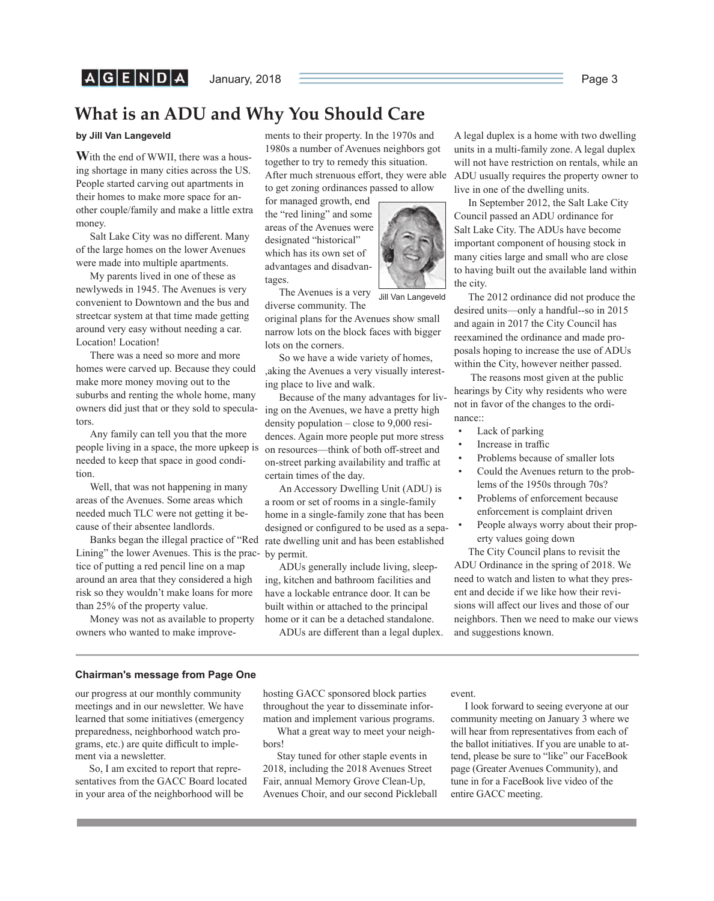### **What is an ADU and Why You Should Care**

### **by Jill Van Langeveld**

**W**ith the end of WWII, there was a housing shortage in many cities across the US. People started carving out apartments in their homes to make more space for another couple/family and make a little extra money.

Salt Lake City was no different. Many of the large homes on the lower Avenues were made into multiple apartments.

My parents lived in one of these as newlyweds in 1945. The Avenues is very convenient to Downtown and the bus and streetcar system at that time made getting around very easy without needing a car. Location! Location!

There was a need so more and more homes were carved up. Because they could make more money moving out to the suburbs and renting the whole home, many owners did just that or they sold to speculators.

Any family can tell you that the more people living in a space, the more upkeep is needed to keep that space in good condition.

Well, that was not happening in many areas of the Avenues. Some areas which needed much TLC were not getting it because of their absentee landlords.

Lining" the lower Avenues. This is the prac-by permit. tice of putting a red pencil line on a map around an area that they considered a high risk so they wouldn't make loans for more than 25% of the property value.

Money was not as available to property owners who wanted to make improvements to their property. In the 1970s and 1980s a number of Avenues neighbors got together to try to remedy this situation. After much strenuous effort, they were able to get zoning ordinances passed to allow

for managed growth, end the "red lining" and some areas of the Avenues were designated "historical" which has its own set of advantages and disadvantages.

The Avenues is a very diverse community. The Jill Van Langeveld

original plans for the Avenues show small narrow lots on the block faces with bigger lots on the corners.

So we have a wide variety of homes, ,aking the Avenues a very visually interesting place to live and walk.

Because of the many advantages for living on the Avenues, we have a pretty high density population – close to 9,000 residences. Again more people put more stress on resources—think of both off -street and on-street parking availability and traffic at certain times of the day.

Banks began the illegal practice of "Red rate dwelling unit and has been established An Accessory Dwelling Unit (ADU) is a room or set of rooms in a single-family home in a single-family zone that has been designed or configured to be used as a sepa-

> ADUs generally include living, sleeping, kitchen and bathroom facilities and have a lockable entrance door. It can be built within or attached to the principal home or it can be a detached standalone.

ADUs are different than a legal duplex.

A legal duplex is a home with two dwelling units in a multi-family zone. A legal duplex will not have restriction on rentals, while an ADU usually requires the property owner to live in one of the dwelling units.

In September 2012, the Salt Lake City Council passed an ADU ordinance for Salt Lake City. The ADUs have become important component of housing stock in many cities large and small who are close to having built out the available land within the city.

The 2012 ordinance did not produce the desired units—only a handful--so in 2015 and again in 2017 the City Council has reexamined the ordinance and made proposals hoping to increase the use of ADUs within the City, however neither passed.

 The reasons most given at the public hearings by City why residents who were not in favor of the changes to the ordinance::

- Lack of parking
- Increase in traffic
- Problems because of smaller lots
- Could the Avenues return to the problems of the 1950s through 70s?
- Problems of enforcement because enforcement is complaint driven
- People always worry about their property values going down

The City Council plans to revisit the ADU Ordinance in the spring of 2018. We need to watch and listen to what they present and decide if we like how their revisions will affect our lives and those of our neighbors. Then we need to make our views and suggestions known.

### **Chairman's message from Page One**

our progress at our monthly community meetings and in our newsletter. We have learned that some initiatives (emergency preparedness, neighborhood watch programs, etc.) are quite difficult to implement via a newsletter.

So, I am excited to report that representatives from the GACC Board located in your area of the neighborhood will be

hosting GACC sponsored block parties throughout the year to disseminate information and implement various programs.

What a great way to meet your neighbors!

Stay tuned for other staple events in 2018, including the 2018 Avenues Street Fair, annual Memory Grove Clean-Up, Avenues Choir, and our second Pickleball event.

I look forward to seeing everyone at our community meeting on January 3 where we will hear from representatives from each of the ballot initiatives. If you are unable to attend, please be sure to "like" our FaceBook page (Greater Avenues Community), and tune in for a FaceBook live video of the entire GACC meeting.

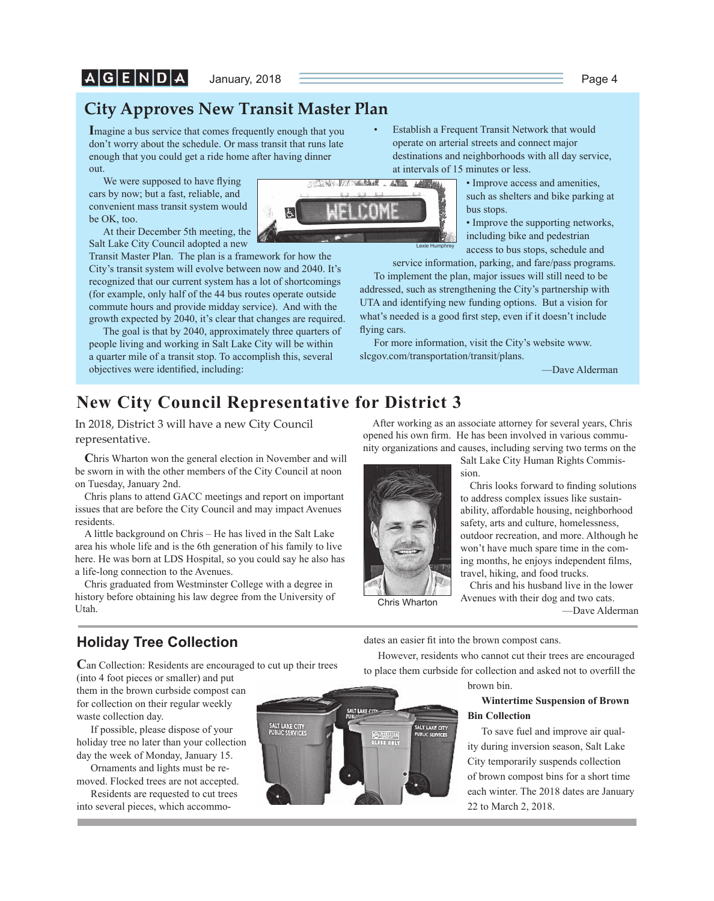### **City Approves New Transit Master Plan**

**I**magine a bus service that comes frequently enough that you don't worry about the schedule. Or mass transit that runs late enough that you could get a ride home after having dinner out.

We were supposed to have flying cars by now; but a fast, reliable, and convenient mass transit system would be OK, too.

At their December 5th meeting, the Salt Lake City Council adopted a new

Transit Master Plan. The plan is a framework for how the City's transit system will evolve between now and 2040. It's recognized that our current system has a lot of shortcomings (for example, only half of the 44 bus routes operate outside commute hours and provide midday service). And with the growth expected by 2040, it's clear that changes are required.

The goal is that by 2040, approximately three quarters of people living and working in Salt Lake City will be within a quarter mile of a transit stop. To accomplish this, several objectives were identified, including:

- Establish a Frequent Transit Network that would operate on arterial streets and connect major destinations and neighborhoods with all day service, at intervals of 15 minutes or less.
	- Improve access and amenities, such as shelters and bike parking at bus stops.

• Improve the supporting networks, including bike and pedestrian access to bus stops, schedule and

service information, parking, and fare/pass programs.

To implement the plan, major issues will still need to be addressed, such as strengthening the City's partnership with UTA and identifying new funding options. But a vision for what's needed is a good first step, even if it doesn't include flying cars.

Lexie Humph

AND LAWAIN

「高いある」は、

AN VI

For more information, visit the City's website www. slcgov.com/transportation/transit/plans.

—Dave Alderman

## **New City Council Representative for District 3**

In 2018, District 3 will have a new City Council representative.

**C**hris Wharton won the general election in November and will be sworn in with the other members of the City Council at noon on Tuesday, January 2nd.

Chris plans to attend GACC meetings and report on important issues that are before the City Council and may impact Avenues residents.

A little background on Chris – He has lived in the Salt Lake area his whole life and is the 6th generation of his family to live here. He was born at LDS Hospital, so you could say he also has a life-long connection to the Avenues.

Chris graduated from Westminster College with a degree in history before obtaining his law degree from the University of Utah.

After working as an associate attorney for several years, Chris opened his own firm. He has been involved in various community organizations and causes, including serving two terms on the



Salt Lake City Human Rights Commission.

Chris looks forward to finding solutions to address complex issues like sustainability, affordable housing, neighborhood safety, arts and culture, homelessness, outdoor recreation, and more. Although he won't have much spare time in the coming months, he enjoys independent films, travel, hiking, and food trucks.

Chris and his husband live in the lower Avenues with their dog and two cats.

—Dave Alderman

### **Holiday Tree Collection**

**C**an Collection: Residents are encouraged to cut up their trees

(into 4 foot pieces or smaller) and put them in the brown curbside compost can for collection on their regular weekly waste collection day.

If possible, please dispose of your holiday tree no later than your collection day the week of Monday, January 15.

Ornaments and lights must be removed. Flocked trees are not accepted.

Residents are requested to cut trees into several pieces, which accommo-



dates an easier fit into the brown compost cans.

However, residents who cannot cut their trees are encouraged to place them curbside for collection and asked not to overfill the

brown bin.

### **Wintertime Suspension of Brown Bin Collection**

To save fuel and improve air quality during inversion season, Salt Lake City temporarily suspends collection of brown compost bins for a short time each winter. The 2018 dates are January 22 to March 2, 2018.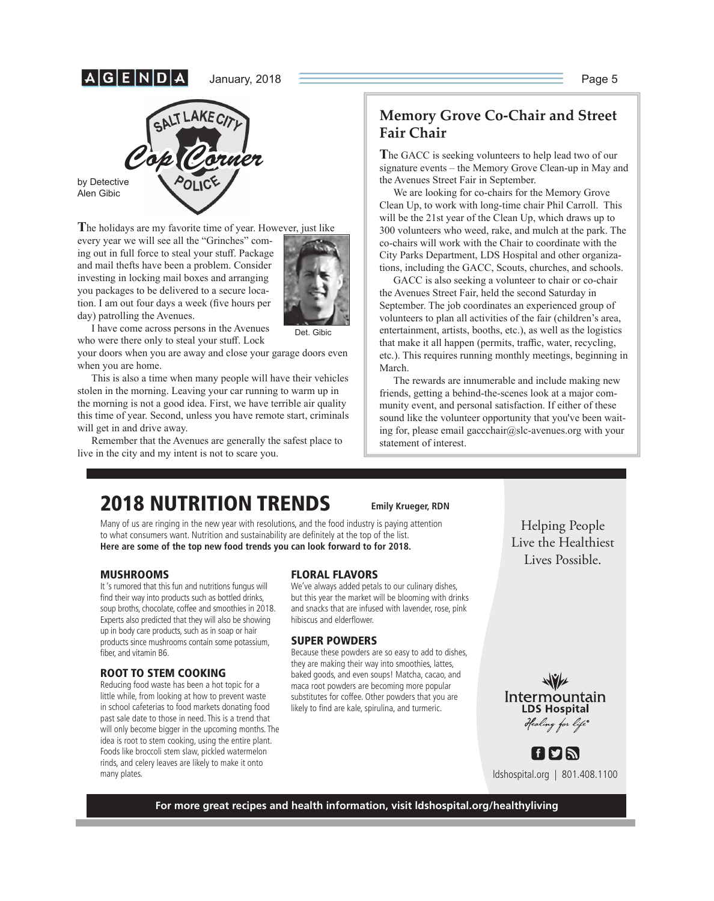## |A|G|E|N|D|,



by Detective Alen Gibic

**T**he holidays are my favorite time of year. However, just like

every year we will see all the "Grinches" coming out in full force to steal your stuff. Package and mail thefts have been a problem. Consider investing in locking mail boxes and arranging you packages to be delivered to a secure location. I am out four days a week (five hours per day) patrolling the Avenues.



Det. Gibic

I have come across persons in the Avenues who were there only to steal your stuff. Lock

your doors when you are away and close your garage doors even when you are home.

This is also a time when many people will have their vehicles stolen in the morning. Leaving your car running to warm up in the morning is not a good idea. First, we have terrible air quality this time of year. Second, unless you have remote start, criminals will get in and drive away.

Remember that the Avenues are generally the safest place to live in the city and my intent is not to scare you.

### **Memory Grove Co-Chair and Street Fair Chair**

**T**he GACC is seeking volunteers to help lead two of our signature events – the Memory Grove Clean-up in May and the Avenues Street Fair in September.

We are looking for co-chairs for the Memory Grove Clean Up, to work with long-time chair Phil Carroll. This will be the 21st year of the Clean Up, which draws up to 300 volunteers who weed, rake, and mulch at the park. The co-chairs will work with the Chair to coordinate with the City Parks Department, LDS Hospital and other organizations, including the GACC, Scouts, churches, and schools.

GACC is also seeking a volunteer to chair or co-chair the Avenues Street Fair, held the second Saturday in September. The job coordinates an experienced group of volunteers to plan all activities of the fair (children's area, entertainment, artists, booths, etc.), as well as the logistics that make it all happen (permits, traffic, water, recycling, etc.). This requires running monthly meetings, beginning in March.

The rewards are innumerable and include making new friends, getting a behind-the-scenes look at a major community event, and personal satisfaction. If either of these sound like the volunteer opportunity that you've been waiting for, please email gaccchair@slc-avenues.org with your statement of interest.

# **2018 NUTRITION TRENDS**

Many of us are ringing in the new year with resolutions, and the food industry is paying attention to what consumers want. Nutrition and sustainability are definitely at the top of the list. **Here are some of the top new food trends you can look forward to for 2018.** 

### **MUSHROOMS**

It 's rumored that this fun and nutritions fungus will find their way into products such as bottled drinks, soup broths, chocolate, coffee and smoothies in 2018. Experts also predicted that they will also be showing up in body care products, such as in soap or hair products since mushrooms contain some potassium, fiber, and vitamin B6.

### **ROOT TO STEM COOKING**

Reducing food waste has been a hot topic for a little while, from looking at how to prevent waste in school cafeterias to food markets donating food past sale date to those in need. This is a trend that will only become bigger in the upcoming months. The idea is root to stem cooking, using the entire plant. Foods like broccoli stem slaw, pickled watermelon rinds, and celery leaves are likely to make it onto many plates.

### **FLORAL FLAVORS**

We've always added petals to our culinary dishes, but this year the market will be blooming with drinks and snacks that are infused with lavender, rose, pink hibiscus and elderflower.

**Emily Krueger, RDN**

### **SUPER POWDERS**

Because these powders are so easy to add to dishes, they are making their way into smoothies, lattes, baked goods, and even soups! Matcha, cacao, and maca root powders are becoming more popular substitutes for coffee. Other powders that you are likely to find are kale, spirulina, and turmeric.

Helping People Lives Possible.  $\overline{\phantom{a}}$ 



ldshospital.org | 801.408.1100

f bin

**For more great recipes and health information, visit ldshospital.org/healthyliving**